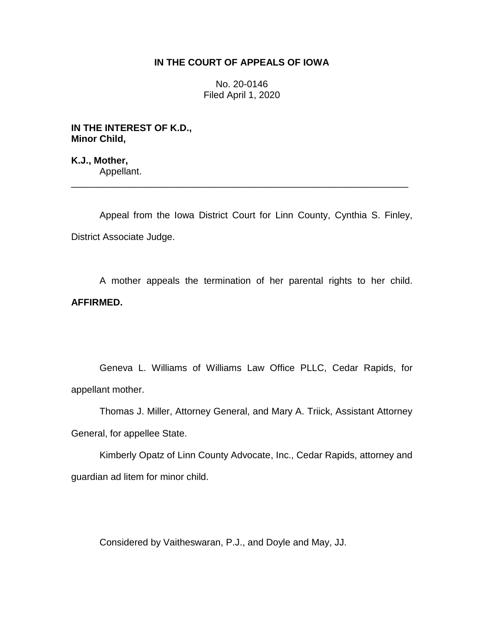### **IN THE COURT OF APPEALS OF IOWA**

No. 20-0146 Filed April 1, 2020

**IN THE INTEREST OF K.D., Minor Child,**

**K.J., Mother,** Appellant.

Appeal from the Iowa District Court for Linn County, Cynthia S. Finley, District Associate Judge.

\_\_\_\_\_\_\_\_\_\_\_\_\_\_\_\_\_\_\_\_\_\_\_\_\_\_\_\_\_\_\_\_\_\_\_\_\_\_\_\_\_\_\_\_\_\_\_\_\_\_\_\_\_\_\_\_\_\_\_\_\_\_\_\_

A mother appeals the termination of her parental rights to her child. **AFFIRMED.**

Geneva L. Williams of Williams Law Office PLLC, Cedar Rapids, for appellant mother.

Thomas J. Miller, Attorney General, and Mary A. Triick, Assistant Attorney General, for appellee State.

Kimberly Opatz of Linn County Advocate, Inc., Cedar Rapids, attorney and guardian ad litem for minor child.

Considered by Vaitheswaran, P.J., and Doyle and May, JJ.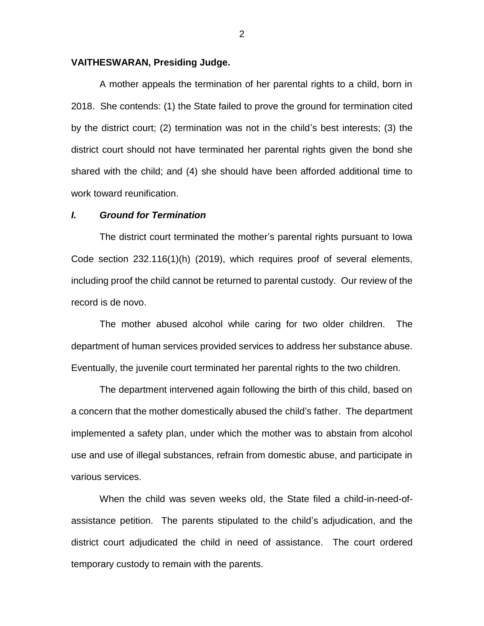#### **VAITHESWARAN, Presiding Judge.**

A mother appeals the termination of her parental rights to a child, born in 2018. She contends: (1) the State failed to prove the ground for termination cited by the district court; (2) termination was not in the child's best interests; (3) the district court should not have terminated her parental rights given the bond she shared with the child; and (4) she should have been afforded additional time to work toward reunification.

#### *I. Ground for Termination*

The district court terminated the mother's parental rights pursuant to Iowa Code section 232.116(1)(h) (2019), which requires proof of several elements, including proof the child cannot be returned to parental custody. Our review of the record is de novo.

The mother abused alcohol while caring for two older children. The department of human services provided services to address her substance abuse. Eventually, the juvenile court terminated her parental rights to the two children.

The department intervened again following the birth of this child, based on a concern that the mother domestically abused the child's father. The department implemented a safety plan, under which the mother was to abstain from alcohol use and use of illegal substances, refrain from domestic abuse, and participate in various services.

When the child was seven weeks old, the State filed a child-in-need-ofassistance petition. The parents stipulated to the child's adjudication, and the district court adjudicated the child in need of assistance. The court ordered temporary custody to remain with the parents.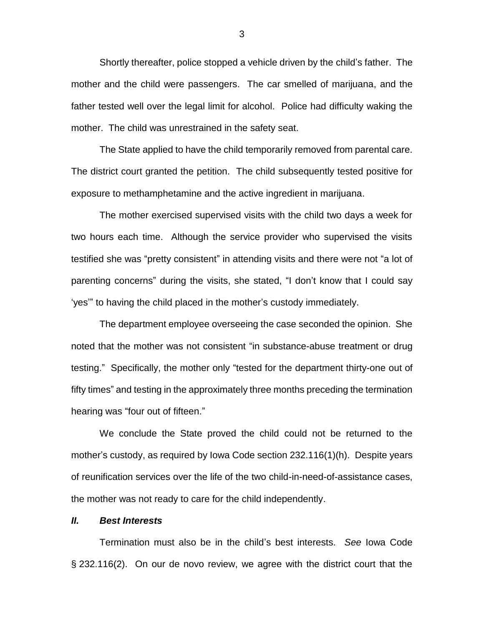Shortly thereafter, police stopped a vehicle driven by the child's father. The mother and the child were passengers. The car smelled of marijuana, and the father tested well over the legal limit for alcohol. Police had difficulty waking the mother. The child was unrestrained in the safety seat.

The State applied to have the child temporarily removed from parental care. The district court granted the petition. The child subsequently tested positive for exposure to methamphetamine and the active ingredient in marijuana.

The mother exercised supervised visits with the child two days a week for two hours each time. Although the service provider who supervised the visits testified she was "pretty consistent" in attending visits and there were not "a lot of parenting concerns" during the visits, she stated, "I don't know that I could say 'yes'" to having the child placed in the mother's custody immediately.

The department employee overseeing the case seconded the opinion. She noted that the mother was not consistent "in substance-abuse treatment or drug testing." Specifically, the mother only "tested for the department thirty-one out of fifty times" and testing in the approximately three months preceding the termination hearing was "four out of fifteen."

We conclude the State proved the child could not be returned to the mother's custody, as required by Iowa Code section 232.116(1)(h). Despite years of reunification services over the life of the two child-in-need-of-assistance cases, the mother was not ready to care for the child independently.

### *II. Best Interests*

Termination must also be in the child's best interests. *See* Iowa Code § 232.116(2). On our de novo review, we agree with the district court that the

3